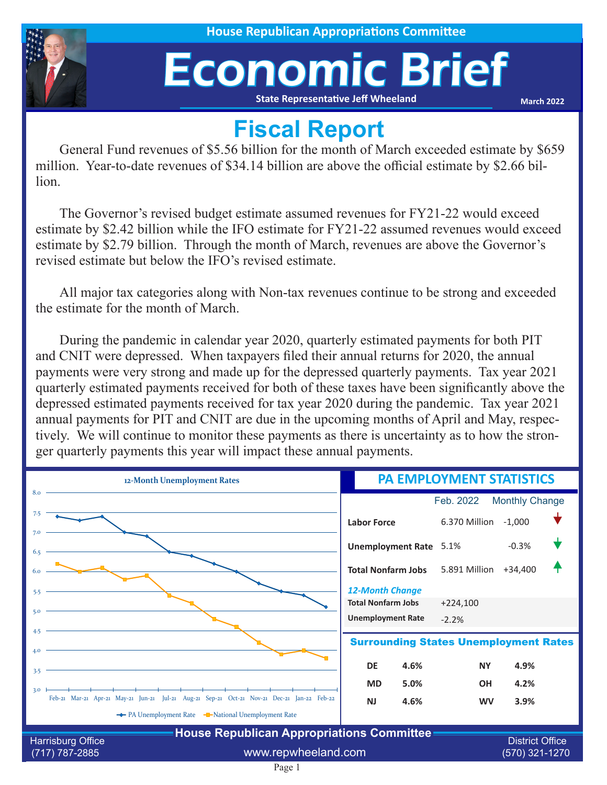# Economic Brief

**State Representative Jeff Wheeland**

**March 2022**

## **Fiscal Report**

General Fund revenues of \$5.56 billion for the month of March exceeded estimate by \$659 million. Year-to-date revenues of \$34.14 billion are above the official estimate by \$2.66 billion.

The Governor's revised budget estimate assumed revenues for FY21-22 would exceed estimate by \$2.42 billion while the IFO estimate for FY21-22 assumed revenues would exceed estimate by \$2.79 billion. Through the month of March, revenues are above the Governor's revised estimate but below the IFO's revised estimate.

All major tax categories along with Non-tax revenues continue to be strong and exceeded the estimate for the month of March.

During the pandemic in calendar year 2020, quarterly estimated payments for both PIT and CNIT were depressed. When taxpayers filed their annual returns for 2020, the annual payments were very strong and made up for the depressed quarterly payments. Tax year 2021 quarterly estimated payments received for both of these taxes have been significantly above the depressed estimated payments received for tax year 2020 during the pandemic. Tax year 2021 annual payments for PIT and CNIT are due in the upcoming months of April and May, respectively. We will continue to monitor these payments as there is uncertainty as to how the stronger quarterly payments this year will impact these annual payments.

| 12-Month Unemployment Rates                                                                       | <b>PA EMPLOYMENT STATISTICS</b> |               |                                          |  |
|---------------------------------------------------------------------------------------------------|---------------------------------|---------------|------------------------------------------|--|
| 8.0                                                                                               |                                 | Feb. 2022     | <b>Monthly Change</b>                    |  |
| 7.5                                                                                               | <b>Labor Force</b>              | 6.370 Million | $-1,000$                                 |  |
| 7.0<br>6.5                                                                                        | Unemployment Rate 5.1%          |               | $-0.3%$                                  |  |
|                                                                                                   | <b>Total Nonfarm Jobs</b>       | 5.891 Million | $+34,400$                                |  |
| 5.5                                                                                               | <b>12-Month Change</b>          |               |                                          |  |
|                                                                                                   | <b>Total Nonfarm Jobs</b>       | $+224,100$    |                                          |  |
| 5.0                                                                                               | <b>Unemployment Rate</b>        | $-2.2%$       |                                          |  |
| 4.5<br><b>Surrounding States Unemployment Rates</b>                                               |                                 |               |                                          |  |
| 4.0<br>3.5                                                                                        | 4.6%<br><b>DE</b>               | <b>NY</b>     | 4.9%                                     |  |
|                                                                                                   | 5.0%<br><b>MD</b>               | <b>OH</b>     | 4.2%                                     |  |
| 3.0<br>Feb-21 Mar-21 Apr-21 May-21 Jun-21 Jul-21 Aug-21 Sep-21 Oct-21 Nov-21 Dec-21 Jan-22 Feb-22 | <b>NJ</b><br>4.6%               | <b>WV</b>     | 3.9%                                     |  |
| The PA Unemployment Rate The National Unemployment Rate                                           |                                 |               |                                          |  |
| <b>House Republican Appropriations Committee</b>                                                  |                                 |               |                                          |  |
| <b>Harrisburg Office</b><br>www.repwheeland.com<br>(717) 787-2885                                 |                                 |               | <b>District Office</b><br>(570) 321-1270 |  |